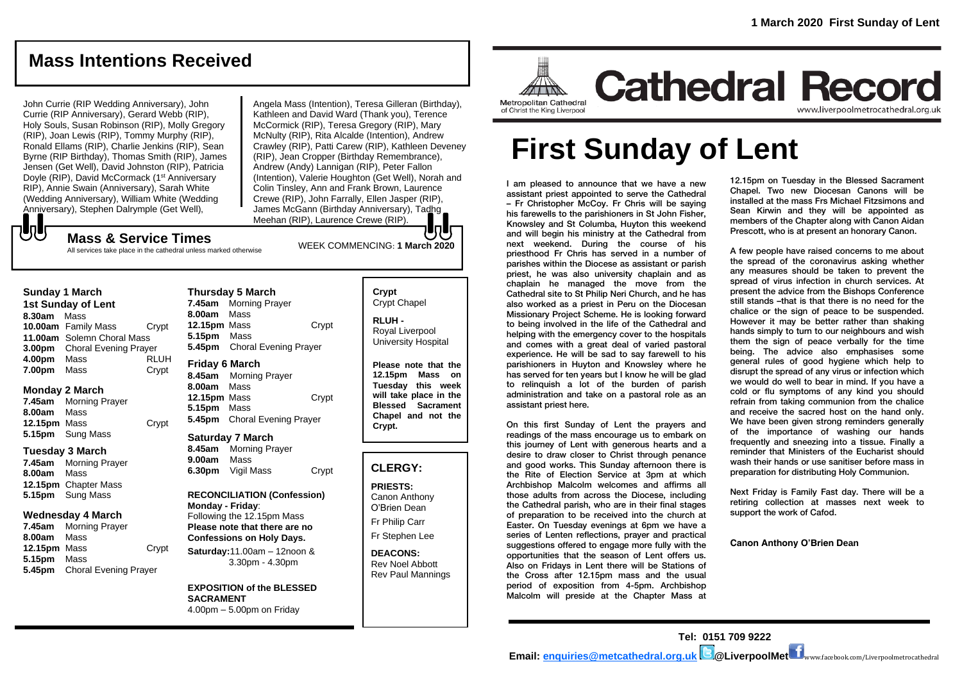www.liverpoolmetrocathedral.org.uk

# **Mass Intentions Received**

John Currie (RIP Wedding Anniversary), John Currie (RIP Anniversary), Gerard Webb (RIP), Holy Souls, Susan Robinson (RIP), Molly Gregory (RIP), Joan Lewis (RIP), Tommy Murphy (RIP), Ronald Ellams (RIP), Charlie Jenkins (RIP), Sean Byrne (RIP Birthday), Thomas Smith (RIP), James Jensen (Get Well), David Johnston (RIP), Patricia Doyle (RIP), David McCormack (1<sup>st</sup> Anniversary RIP), Annie Swain (Anniversary), Sarah White (Wedding Anniversary), William White (Wedding Anniversary), Stephen Dalrymple (Get Well),

Angela Mass (Intention), Teresa Gilleran (Birthday), Kathleen and David Ward (Thank you), Terence McCormick (RIP), Teresa Gregory (RIP), Mary McNulty (RIP), Rita Alcalde (Intention), Andrew Crawley (RIP), Patti Carew (RIP), Kathleen Deveney (RIP), Jean Cropper (Birthday Remembrance), Andrew (Andy) Lannigan (RIP), Peter Fallon (Intention), Valerie Houghton (Get Well), Norah and Colin Tinsley, Ann and Frank Brown, Laurence Crewe (RIP), John Farrally, Ellen Jasper (RIP), James McGann (Birthday Anniversary), Tadhg Meehan (RIP), Laurence Crewe (RIP).

# WEEK COMMENCING: **1 March <sup>2020</sup> Mass & Service Times**

All services take place in the cathedral unless marked otherwise

#### **Sunday 1 March**

もし

**1st Sunday of Lent 8.30am** Mass **10.00am** Family Mass Crypt **11.00am** Solemn Choral Mass **3.00pm** Choral Evening Prayer **4.00pm** Mass RLUH **7.00pm** Mass Crypt

#### **Monday 2 March**

**7.45am** Morning Prayer **8.00am** Mass **12.15pm** Mass **Crypt 5.15pm** Sung Mass

#### **Tuesday 3 March**

**7.45am** Morning Prayer **8.00am** Mass **12.15pm** Chapter Mass **5.15pm** Sung Mass

#### **Wednesday 4 March**

**7.45am** Morning Prayer **8.00am** Mass **12.15pm** Mass Crypt **5.15pm** Mass **5.45pm** Choral Evening Prayer

#### **Thursday 5 March 7.45am** Morning Prayer **8.00am** Mass **12.15pm** Mass Crypt **5.15pm** Mass **5.45pm** Choral Evening Prayer

**Friday 6 March 8.45am** Morning Prayer **8.00am** Mass **12.15pm** Mass Crypt **5.15pm** Mass **5.45pm** Choral Evening Prayer

#### **Saturday 7 March**

**8.45am** Morning Prayer **9.00am** Mass **6.30pm** Vigil Mass Crypt

**RECONCILIATION (Confession) Monday - Friday**: Following the 12.15pm Mass **Please note that there are no Confessions on Holy Days. Saturday:**11.00am – 12noon & 3.30pm - 4.30pm

**EXPOSITION of the BLESSED SACRAMENT** 4.00pm – 5.00pm on Friday

#### **Crypt**  Crypt Chapel

**RLUH -** Royal Liverpool University Hospital

**Please note that the 12.15pm Mass on Tuesday this week will take place in the Blessed Sacrament Chapel and not the Crypt.**

## **CLERGY:**

**PRIESTS:** Canon Anthony O'Brien *Dean*

Fr Philip Carr

Fr Stephen Lee

**DEACONS:** Rev Noel Abbott Rev Paul Mannings

# **Cathedral Record** Metropolitan Cathedral of Christ the King Liverpool

# **First Sunday of Lent**

I am pleased to announce that we have a new assistant priest appointed to serve the Cathedral – Fr Christopher McCoy. Fr Chris will be saying his farewells to the parishioners in St John Fisher, Knowsley and St Columba, Huyton this weekend and will begin his ministry at the Cathedral from next weekend. During the course of his priesthood Fr Chris has served in a number of parishes within the Diocese as assistant or parish priest, he was also university chaplain and as chaplain he managed the move from the Cathedral site to St Philip Neri Church, and he has also worked as a priest in Peru on the Diocesan Missionary Project Scheme. He is looking forward to being involved in the life of the Cathedral and helping with the emergency cover to the hospitals and comes with a great deal of varied pastoral experience. He will be sad to say farewell to his parishioners in Huyton and Knowsley where he has served for ten years but I know he will be glad to relinquish a lot of the burden of parish administration and take on a pastoral role as an assistant priest here.

On this first Sunday of Lent the prayers and readings of the mass encourage us to embark on this journey of Lent with generous hearts and a desire to draw closer to Christ through penance and good works. This Sunday afternoon there is the Rite of Election Service at 3pm at which Archbishop Malcolm welcomes and affirms all those adults from across the Diocese, including the Cathedral parish, who are in their final stages of preparation to be received into the church at Easter. On Tuesday evenings at 6pm we have a series of Lenten reflections, prayer and practical suggestions offered to engage more fully with the opportunities that the season of Lent offers us. Also on Fridays in Lent there will be Stations of the Cross after 12.15pm mass and the usual period of exposition from 4-5pm. Archbishop Malcolm will preside at the Chapter Mass at

12.15pm on Tuesday in the Blessed Sacrament Chapel. Two new Diocesan Canons will be installed at the mass Frs Michael Fitzsimons and Sean Kirwin and they will be appointed as members of the Chapter along with Canon Aidan Prescott, who is at present an honorary Canon.

A few people have raised concerns to me about the spread of the coronavirus asking whether any measures should be taken to prevent the spread of virus infection in church services. At present the advice from the Bishops Conference still stands –that is that there is no need for the chalice or the sign of peace to be suspended. However it may be better rather than shaking hands simply to turn to our neighbours and wish them the sign of peace verbally for the time being. The advice also emphasises some general rules of good hygiene which help to disrupt the spread of any virus or infection which we would do well to bear in mind. If you have a cold or flu symptoms of any kind you should refrain from taking communion from the chalice and receive the sacred host on the hand only. We have been given strong reminders generally of the importance of washing our hands frequently and sneezing into a tissue. Finally a reminder that Ministers of the Eucharist should wash their hands or use sanitiser before mass in preparation for distributing Holy Communion.

Next Friday is Family Fast day. There will be a retiring collection at masses next week to support the work of Cafod.

**Canon Anthony O'Brien Dean**